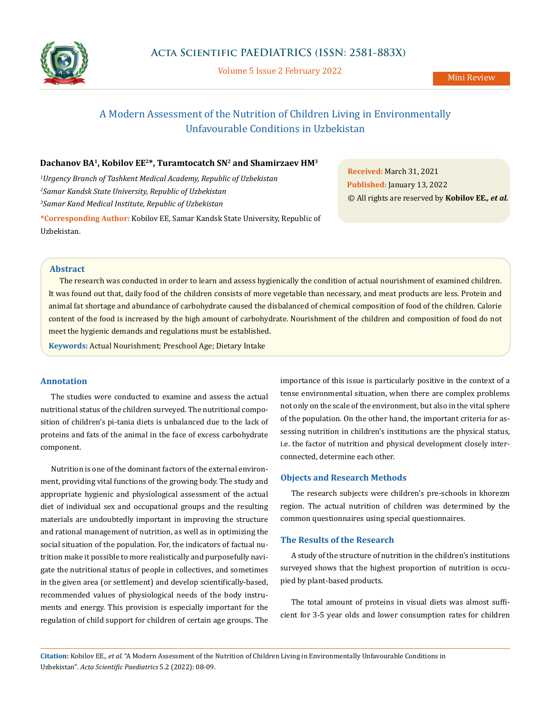

Volume 5 Issue 2 February 2022

# A Modern Assessment of the Nutrition of Children Living in Environmentally Unfavourable Conditions in Uzbekistan

# **Dachanov BA1, Kobilov EE2\*, Turamtocatch SN2 and Shamirzaev HM3**

*1 Urgency Branch of Tashkent Medical Academy, Republic of Uzbekistan 2 Samar Kandsk State University, Republic of Uzbekistan 3 Samar Kand Medical Institute, Republic of Uzbekistan*

**\*Corresponding Author:** Kobilov EE, Samar Kandsk State University, Republic of Uzbekistan.

**Received:** March 31, 2021 **Published:** January 13, 2022 © All rights are reserved by **Kobilov EE***., et al.*

## **Abstract**

The research was conducted in order to learn and assess hygienically the condition of actual nourishment of examined children. It was found out that, daily food of the children consists of more vegetable than necessary, and meat products are less. Protein and animal fat shortage and abundance of carbohydrate caused the disbalanced of chemical composition of food of the children. Calorie content of the food is increased bу the high amount of carbohydrate. Nourishment of the children and composition of food do not meet the hygienic demands and regulations must bе established.

**Kеуwords:** Actual Nourishment; Preschool Age; Dietary Intake

# **Annotation**

The studies were conducted to examine and assess the actual nutritional status of the children surveyed. The nutritional composition of children's pi-tania diets is unbalanced due to the lack of proteins and fats of the animal in the face of excess carbohydrate component.

Nutrition is one of the dominant factors of the external environment, providing vital functions of the growing body. The study and appropriate hygienic and physiological assessment of the actual diet of individual sex and occupational groups and the resulting materials are undoubtedly important in improving the structure and rational management of nutrition, as well as in optimizing the social situation of the population. For, the indicators of factual nutrition make it possible to more realistically and purposefully navigate the nutritional status of people in collectives, and sometimes in the given area (or settlement) and develop scientifically-based, recommended values of physiological needs of the body instruments and energy. This provision is especially important for the regulation of child support for children of certain age groups. The importance of this issue is particularly positive in the context of a tense environmental situation, when there are complex problems not only on the scale of the environment, but also in the vital sphere of the population. On the other hand, the important criteria for assessing nutrition in children's institutions are the physical status, i.e. the factor of nutrition and physical development closely interconnected, determine each other.

## **Objects and Research Methods**

The research subjects were children's pre-schools in khorezm region. The actual nutrition of children was determined by the common questionnaires using special questionnaires.

# **The Results of the Research**

A study of the structure of nutrition in the children's institutions surveyed shows that the highest proportion of nutrition is occupied by plant-based products.

The total amount of proteins in visual diets was almost sufficient for 3-5 year olds and lower consumption rates for children

**Citation:** Kobilov EE*., et al.* "A Modern Assessment of the Nutrition of Children Living in Environmentally Unfavourable Conditions in Uzbekistan". *Acta Scientific Paediatrics* 5.2 (2022): 08-09.